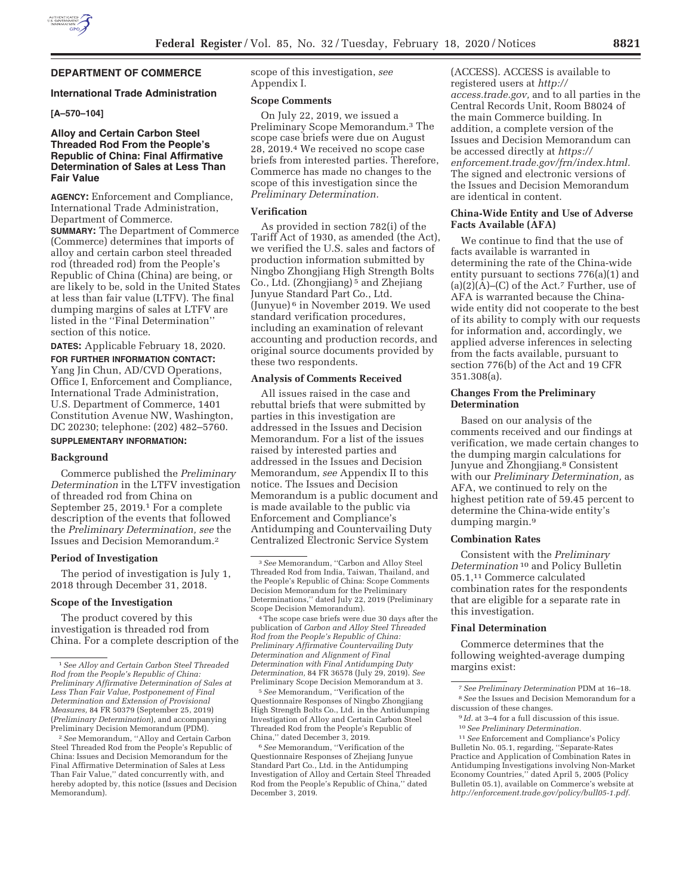

# **DEPARTMENT OF COMMERCE**

#### **International Trade Administration**

## **[A–570–104]**

## **Alloy and Certain Carbon Steel Threaded Rod From the People's Republic of China: Final Affirmative Determination of Sales at Less Than Fair Value**

**AGENCY:** Enforcement and Compliance, International Trade Administration, Department of Commerce.

**SUMMARY:** The Department of Commerce (Commerce) determines that imports of alloy and certain carbon steel threaded rod (threaded rod) from the People's Republic of China (China) are being, or are likely to be, sold in the United States at less than fair value (LTFV). The final dumping margins of sales at LTFV are listed in the ''Final Determination'' section of this notice.

**DATES:** Applicable February 18, 2020.

**FOR FURTHER INFORMATION CONTACT:**  Yang Jin Chun, AD/CVD Operations, Office I, Enforcement and Compliance, International Trade Administration, U.S. Department of Commerce, 1401 Constitution Avenue NW, Washington, DC 20230; telephone: (202) 482–5760.

## **SUPPLEMENTARY INFORMATION:**

### **Background**

Commerce published the *Preliminary Determination* in the LTFV investigation of threaded rod from China on September 25, 2019.1 For a complete description of the events that followed the *Preliminary Determination, see* the Issues and Decision Memorandum.2

### **Period of Investigation**

The period of investigation is July 1, 2018 through December 31, 2018.

#### **Scope of the Investigation**

The product covered by this investigation is threaded rod from China. For a complete description of the

2*See* Memorandum, ''Alloy and Certain Carbon Steel Threaded Rod from the People's Republic of China: Issues and Decision Memorandum for the Final Affirmative Determination of Sales at Less Than Fair Value,'' dated concurrently with, and hereby adopted by, this notice (Issues and Decision Memorandum).

scope of this investigation, *see*  Appendix I.

#### **Scope Comments**

On July 22, 2019, we issued a Preliminary Scope Memorandum.3 The scope case briefs were due on August 28, 2019.4 We received no scope case briefs from interested parties. Therefore, Commerce has made no changes to the scope of this investigation since the *Preliminary Determination.* 

### **Verification**

As provided in section 782(i) of the Tariff Act of 1930, as amended (the Act), we verified the U.S. sales and factors of production information submitted by Ningbo Zhongjiang High Strength Bolts Co., Ltd. (Zhongjiang) 5 and Zhejiang Junyue Standard Part Co., Ltd. (Junyue) 6 in November 2019. We used standard verification procedures, including an examination of relevant accounting and production records, and original source documents provided by these two respondents.

### **Analysis of Comments Received**

All issues raised in the case and rebuttal briefs that were submitted by parties in this investigation are addressed in the Issues and Decision Memorandum. For a list of the issues raised by interested parties and addressed in the Issues and Decision Memorandum, *see* Appendix II to this notice. The Issues and Decision Memorandum is a public document and is made available to the public via Enforcement and Compliance's Antidumping and Countervailing Duty Centralized Electronic Service System

4The scope case briefs were due 30 days after the publication of *Carbon and Alloy Steel Threaded Rod from the People's Republic of China: Preliminary Affirmative Countervailing Duty Determination and Alignment of Final Determination with Final Antidumping Duty Determination,* 84 FR 36578 (July 29, 2019). *See*  Preliminary Scope Decision Memorandum at 3.

5*See* Memorandum, ''Verification of the Questionnaire Responses of Ningbo Zhongjiang High Strength Bolts Co., Ltd. in the Antidumping Investigation of Alloy and Certain Carbon Steel Threaded Rod from the People's Republic of China,'' dated December 3, 2019.

6*See* Memorandum, ''Verification of the Questionnaire Responses of Zhejiang Junyue Standard Part Co., Ltd. in the Antidumping Investigation of Alloy and Certain Steel Threaded Rod from the People's Republic of China,'' dated December 3, 2019.

(ACCESS). ACCESS is available to registered users at *http:// access.trade.gov,* and to all parties in the Central Records Unit, Room B8024 of the main Commerce building. In addition, a complete version of the Issues and Decision Memorandum can be accessed directly at *https:// enforcement.trade.gov/frn/index.html.*  The signed and electronic versions of the Issues and Decision Memorandum are identical in content.

### **China-Wide Entity and Use of Adverse Facts Available (AFA)**

We continue to find that the use of facts available is warranted in determining the rate of the China-wide entity pursuant to sections 776(a)(1) and  $(a)(2)(A)$ – $(C)$  of the Act.<sup>7</sup> Further, use of AFA is warranted because the Chinawide entity did not cooperate to the best of its ability to comply with our requests for information and, accordingly, we applied adverse inferences in selecting from the facts available, pursuant to section 776(b) of the Act and 19 CFR 351.308(a).

#### **Changes From the Preliminary Determination**

Based on our analysis of the comments received and our findings at verification, we made certain changes to the dumping margin calculations for Junyue and Zhongjiang.<sup>8</sup> Consistent with our *Preliminary Determination,* as AFA, we continued to rely on the highest petition rate of 59.45 percent to determine the China-wide entity's dumping margin.9

### **Combination Rates**

Consistent with the *Preliminary Determination* 10 and Policy Bulletin 05.1,11 Commerce calculated combination rates for the respondents that are eligible for a separate rate in this investigation.

## **Final Determination**

Commerce determines that the following weighted-average dumping margins exist:

7*See Preliminary Determination* PDM at 16–18. 8*See* the Issues and Decision Memorandum for a discussion of these changes.

11*See* Enforcement and Compliance's Policy Bulletin No. 05.1, regarding, ''Separate-Rates Practice and Application of Combination Rates in Antidumping Investigations involving Non-Market Economy Countries,'' dated April 5, 2005 (Policy Bulletin 05.1), available on Commerce's website at *http://enforcement.trade.gov/policy/bull05-1.pdf.* 

<sup>1</sup>*See Alloy and Certain Carbon Steel Threaded Rod from the People's Republic of China: Preliminary Affirmative Determination of Sales at Less Than Fair Value, Postponement of Final Determination and Extension of Provisional Measures,* 84 FR 50379 (September 25, 2019) (*Preliminary Determination*), and accompanying Preliminary Decision Memorandum (PDM).

<sup>3</sup>*See* Memorandum, ''Carbon and Alloy Steel Threaded Rod from India, Taiwan, Thailand, and the People's Republic of China: Scope Comments Decision Memorandum for the Preliminary Determinations,'' dated July 22, 2019 (Preliminary Scope Decision Memorandum).

<sup>9</sup> *Id.* at 3–4 for a full discussion of this issue. 10*See Preliminary Determination.*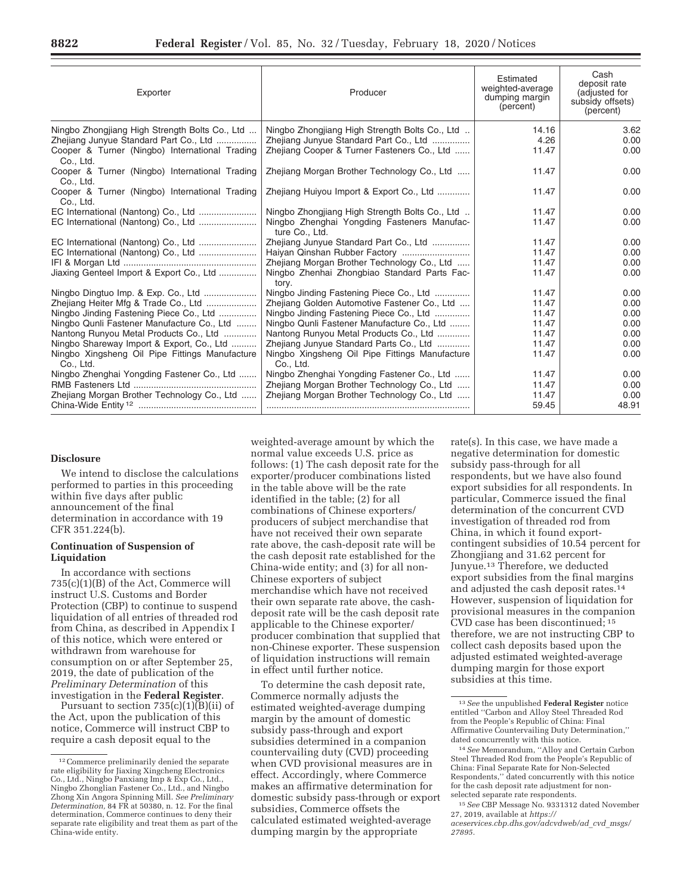| Exporter                                                                                                                                                | Producer                                                                                                                                | Estimated<br>weighted-average<br>dumping margin<br>(percent) | Cash<br>deposit rate<br>(adjusted for<br>subsidy offsets)<br>(percent) |
|---------------------------------------------------------------------------------------------------------------------------------------------------------|-----------------------------------------------------------------------------------------------------------------------------------------|--------------------------------------------------------------|------------------------------------------------------------------------|
| Ningbo Zhongjiang High Strength Bolts Co., Ltd<br>Zhejiang Junyue Standard Part Co., Ltd<br>Cooper & Turner (Ningbo) International Trading<br>Co., Ltd. | Ningbo Zhongjiang High Strength Bolts Co., Ltd<br>Zhejiang Junyue Standard Part Co., Ltd<br>Zhejiang Cooper & Turner Fasteners Co., Ltd | 14.16<br>4.26<br>11.47                                       | 3.62<br>0.00<br>0.00                                                   |
| Cooper & Turner (Ningbo) International Trading<br>Co., Ltd.                                                                                             | Zhejiang Morgan Brother Technology Co., Ltd                                                                                             | 11.47                                                        | 0.00                                                                   |
| Cooper & Turner (Ningbo) International Trading<br>Co., Ltd.                                                                                             | Zhejiang Huiyou Import & Export Co., Ltd                                                                                                | 11.47                                                        | 0.00                                                                   |
| EC International (Nantong) Co., Ltd                                                                                                                     | Ningbo Zhongjiang High Strength Bolts Co., Ltd                                                                                          | 11.47                                                        | 0.00                                                                   |
|                                                                                                                                                         | Ningbo Zhenghai Yongding Fasteners Manufac-<br>ture Co., Ltd.                                                                           | 11.47                                                        | 0.00                                                                   |
|                                                                                                                                                         | Zhejiang Junyue Standard Part Co., Ltd                                                                                                  | 11.47                                                        | 0.00                                                                   |
| EC International (Nantong) Co., Ltd                                                                                                                     |                                                                                                                                         | 11.47                                                        | 0.00                                                                   |
|                                                                                                                                                         | Zhejiang Morgan Brother Technology Co., Ltd                                                                                             | 11.47                                                        | 0.00                                                                   |
| Jiaxing Genteel Import & Export Co., Ltd                                                                                                                | Ningbo Zhenhai Zhongbiao Standard Parts Fac-<br>tory.                                                                                   | 11.47                                                        | 0.00                                                                   |
|                                                                                                                                                         | Ningbo Jinding Fastening Piece Co., Ltd                                                                                                 | 11.47                                                        | 0.00                                                                   |
| Zhejiang Heiter Mfg & Trade Co., Ltd                                                                                                                    | Zhejiang Golden Automotive Fastener Co., Ltd                                                                                            | 11.47                                                        | 0.00                                                                   |
| Ningbo Jinding Fastening Piece Co., Ltd                                                                                                                 | Ningbo Jinding Fastening Piece Co., Ltd                                                                                                 | 11.47                                                        | 0.00                                                                   |
| Ningbo Qunli Fastener Manufacture Co., Ltd                                                                                                              | Ningbo Qunli Fastener Manufacture Co., Ltd                                                                                              | 11.47                                                        | 0.00                                                                   |
| Nantong Runyou Metal Products Co., Ltd                                                                                                                  | Nantong Runyou Metal Products Co., Ltd                                                                                                  | 11.47                                                        | 0.00                                                                   |
| Ningbo Shareway Import & Export, Co., Ltd                                                                                                               | Zhejiang Junyue Standard Parts Co., Ltd                                                                                                 | 11.47                                                        | 0.00                                                                   |
| Ningbo Xingsheng Oil Pipe Fittings Manufacture<br>Co., Ltd.                                                                                             | Ningbo Xingsheng Oil Pipe Fittings Manufacture<br>Co., Ltd.                                                                             | 11.47                                                        | 0.00                                                                   |
| Ningbo Zhenghai Yongding Fastener Co., Ltd                                                                                                              | Ningbo Zhenghai Yongding Fastener Co., Ltd                                                                                              | 11.47                                                        | 0.00                                                                   |
|                                                                                                                                                         | Zhejiang Morgan Brother Technology Co., Ltd                                                                                             | 11.47                                                        | 0.00                                                                   |
| Zhejiang Morgan Brother Technology Co., Ltd                                                                                                             | Zhejiang Morgan Brother Technology Co., Ltd                                                                                             | 11.47                                                        | 0.00                                                                   |
|                                                                                                                                                         |                                                                                                                                         | 59.45                                                        | 48.91                                                                  |

### **Disclosure**

We intend to disclose the calculations performed to parties in this proceeding within five days after public announcement of the final determination in accordance with 19 CFR 351.224(b).

### **Continuation of Suspension of Liquidation**

In accordance with sections 735(c)(1)(B) of the Act, Commerce will instruct U.S. Customs and Border Protection (CBP) to continue to suspend liquidation of all entries of threaded rod from China, as described in Appendix I of this notice, which were entered or withdrawn from warehouse for consumption on or after September 25, 2019, the date of publication of the *Preliminary Determination* of this investigation in the **Federal Register**.

Pursuant to section  $735(c)(1)(B)(ii)$  of the Act, upon the publication of this notice, Commerce will instruct CBP to require a cash deposit equal to the

weighted-average amount by which the normal value exceeds U.S. price as follows: (1) The cash deposit rate for the exporter/producer combinations listed in the table above will be the rate identified in the table; (2) for all combinations of Chinese exporters/ producers of subject merchandise that have not received their own separate rate above, the cash-deposit rate will be the cash deposit rate established for the China-wide entity; and (3) for all non-Chinese exporters of subject merchandise which have not received their own separate rate above, the cashdeposit rate will be the cash deposit rate applicable to the Chinese exporter/ producer combination that supplied that non-Chinese exporter. These suspension of liquidation instructions will remain in effect until further notice.

To determine the cash deposit rate, Commerce normally adjusts the estimated weighted-average dumping margin by the amount of domestic subsidy pass-through and export subsidies determined in a companion countervailing duty (CVD) proceeding when CVD provisional measures are in effect. Accordingly, where Commerce makes an affirmative determination for domestic subsidy pass-through or export subsidies, Commerce offsets the calculated estimated weighted-average dumping margin by the appropriate

rate(s). In this case, we have made a negative determination for domestic subsidy pass-through for all respondents, but we have also found export subsidies for all respondents. In particular, Commerce issued the final determination of the concurrent CVD investigation of threaded rod from China, in which it found exportcontingent subsidies of 10.54 percent for Zhongjiang and 31.62 percent for Junyue.13 Therefore, we deducted export subsidies from the final margins and adjusted the cash deposit rates.14 However, suspension of liquidation for provisional measures in the companion CVD case has been discontinued; 15 therefore, we are not instructing CBP to collect cash deposits based upon the adjusted estimated weighted-average dumping margin for those export subsidies at this time.

<sup>12</sup>Commerce preliminarily denied the separate rate eligibility for Jiaxing Xingcheng Electronics Co., Ltd., Ningbo Panxiang Imp & Exp Co., Ltd., Ningbo Zhonglian Fastener Co., Ltd., and Ningbo Zhong Xin Angora Spinning Mill. *See Preliminary Determination,* 84 FR at 50380, n. 12. For the final determination, Commerce continues to deny their separate rate eligibility and treat them as part of the China-wide entity.

<sup>13</sup>*See* the unpublished **Federal Register** notice entitled ''Carbon and Alloy Steel Threaded Rod from the People's Republic of China: Final Affirmative Countervailing Duty Determination,'' dated concurrently with this notice.

<sup>14</sup>*See* Memorandum, ''Alloy and Certain Carbon Steel Threaded Rod from the People's Republic of China: Final Separate Rate for Non-Selected Respondents,'' dated concurrently with this notice for the cash deposit rate adjustment for nonselected separate rate respondents.

<sup>15</sup>*See* CBP Message No. 9331312 dated November 27, 2019, available at *https:// aceservices.cbp.dhs.gov/adcvdweb/ad*\_*cvd*\_*msgs/ 27895.*